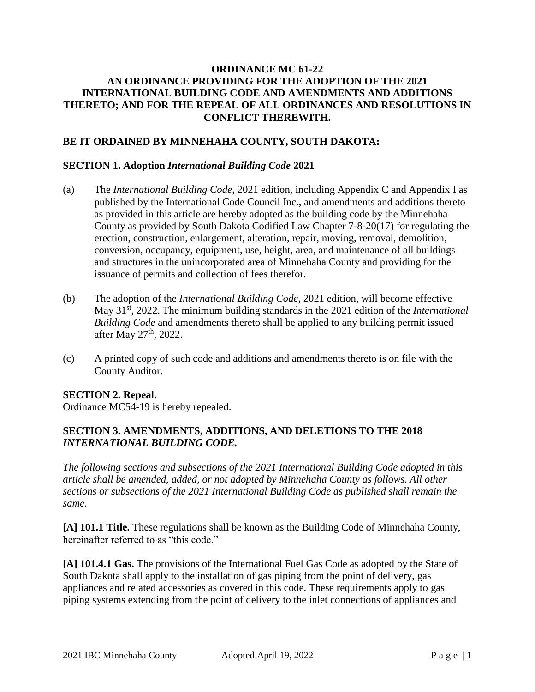## **ORDINANCE MC 61-22 AN ORDINANCE PROVIDING FOR THE ADOPTION OF THE 2021 INTERNATIONAL BUILDING CODE AND AMENDMENTS AND ADDITIONS THERETO; AND FOR THE REPEAL OF ALL ORDINANCES AND RESOLUTIONS IN CONFLICT THEREWITH.**

## **BE IT ORDAINED BY MINNEHAHA COUNTY, SOUTH DAKOTA:**

#### **SECTION 1. Adoption** *International Building Code* **2021**

- (a) The *International Building Code*, 2021 edition, including Appendix C and Appendix I as published by the International Code Council Inc., and amendments and additions thereto as provided in this article are hereby adopted as the building code by the Minnehaha County as provided by South Dakota Codified Law Chapter 7-8-20(17) for regulating the erection, construction, enlargement, alteration, repair, moving, removal, demolition, conversion, occupancy, equipment, use, height, area, and maintenance of all buildings and structures in the unincorporated area of Minnehaha County and providing for the issuance of permits and collection of fees therefor.
- (b) The adoption of the *International Building Code*, 2021 edition, will become effective May 31st, 2022. The minimum building standards in the 2021 edition of the *International Building Code* and amendments thereto shall be applied to any building permit issued after May 27<sup>th</sup>, 2022.
- (c) A printed copy of such code and additions and amendments thereto is on file with the County Auditor.

#### **SECTION 2. Repeal.**

Ordinance MC54-19 is hereby repealed.

## **SECTION 3. AMENDMENTS, ADDITIONS, AND DELETIONS TO THE 2018**  *INTERNATIONAL BUILDING CODE.*

*The following sections and subsections of the 2021 International Building Code adopted in this article shall be amended, added, or not adopted by Minnehaha County as follows. All other sections or subsections of the 2021 International Building Code as published shall remain the same.*

**[A] 101.1 Title.** These regulations shall be known as the Building Code of Minnehaha County, hereinafter referred to as "this code."

**[A] 101.4.1 Gas.** The provisions of the International Fuel Gas Code as adopted by the State of South Dakota shall apply to the installation of gas piping from the point of delivery, gas appliances and related accessories as covered in this code. These requirements apply to gas piping systems extending from the point of delivery to the inlet connections of appliances and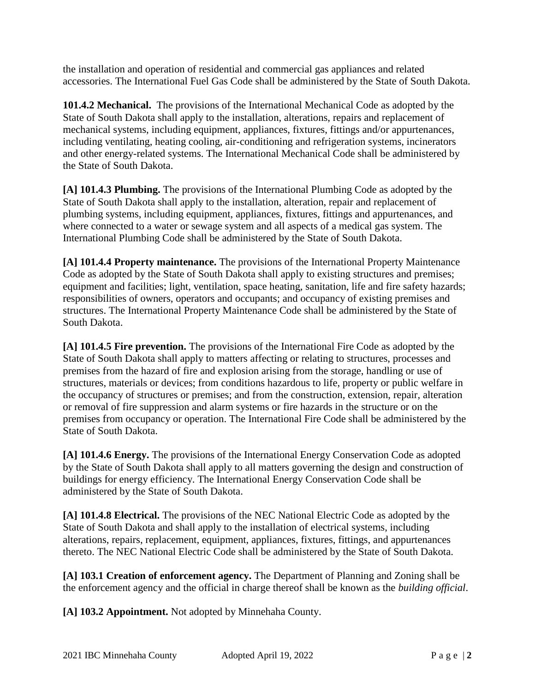the installation and operation of residential and commercial gas appliances and related accessories. The International Fuel Gas Code shall be administered by the State of South Dakota.

**101.4.2 Mechanical.** The provisions of the International Mechanical Code as adopted by the State of South Dakota shall apply to the installation, alterations, repairs and replacement of mechanical systems, including equipment, appliances, fixtures, fittings and/or appurtenances, including ventilating, heating cooling, air-conditioning and refrigeration systems, incinerators and other energy-related systems. The International Mechanical Code shall be administered by the State of South Dakota.

**[A] 101.4.3 Plumbing.** The provisions of the International Plumbing Code as adopted by the State of South Dakota shall apply to the installation, alteration, repair and replacement of plumbing systems, including equipment, appliances, fixtures, fittings and appurtenances, and where connected to a water or sewage system and all aspects of a medical gas system. The International Plumbing Code shall be administered by the State of South Dakota.

**[A] 101.4.4 Property maintenance.** The provisions of the International Property Maintenance Code as adopted by the State of South Dakota shall apply to existing structures and premises; equipment and facilities; light, ventilation, space heating, sanitation, life and fire safety hazards; responsibilities of owners, operators and occupants; and occupancy of existing premises and structures. The International Property Maintenance Code shall be administered by the State of South Dakota.

**[A] 101.4.5 Fire prevention.** The provisions of the International Fire Code as adopted by the State of South Dakota shall apply to matters affecting or relating to structures, processes and premises from the hazard of fire and explosion arising from the storage, handling or use of structures, materials or devices; from conditions hazardous to life, property or public welfare in the occupancy of structures or premises; and from the construction, extension, repair, alteration or removal of fire suppression and alarm systems or fire hazards in the structure or on the premises from occupancy or operation. The International Fire Code shall be administered by the State of South Dakota.

**[A] 101.4.6 Energy.** The provisions of the International Energy Conservation Code as adopted by the State of South Dakota shall apply to all matters governing the design and construction of buildings for energy efficiency. The International Energy Conservation Code shall be administered by the State of South Dakota.

**[A] 101.4.8 Electrical.** The provisions of the NEC National Electric Code as adopted by the State of South Dakota and shall apply to the installation of electrical systems, including alterations, repairs, replacement, equipment, appliances, fixtures, fittings, and appurtenances thereto. The NEC National Electric Code shall be administered by the State of South Dakota.

**[A] 103.1 Creation of enforcement agency.** The Department of Planning and Zoning shall be the enforcement agency and the official in charge thereof shall be known as the *building official*.

**[A] 103.2 Appointment.** Not adopted by Minnehaha County.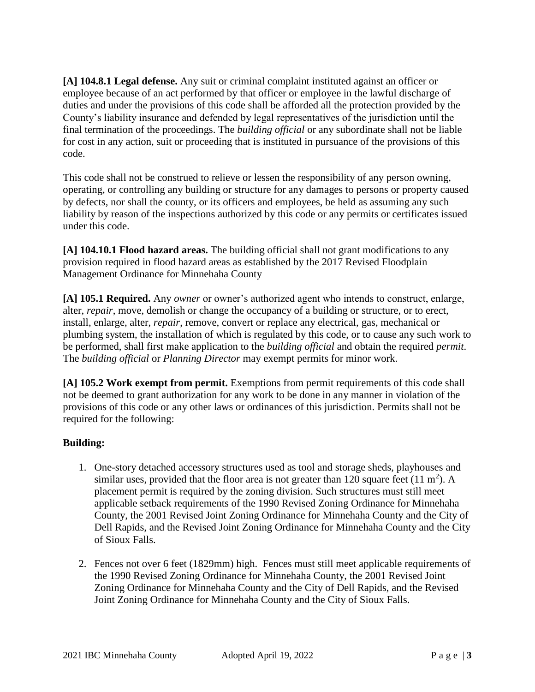**[A] 104.8.1 Legal defense.** Any suit or criminal complaint instituted against an officer or employee because of an act performed by that officer or employee in the lawful discharge of duties and under the provisions of this code shall be afforded all the protection provided by the County's liability insurance and defended by legal representatives of the jurisdiction until the final termination of the proceedings. The *building official* or any subordinate shall not be liable for cost in any action, suit or proceeding that is instituted in pursuance of the provisions of this code.

This code shall not be construed to relieve or lessen the responsibility of any person owning, operating, or controlling any building or structure for any damages to persons or property caused by defects, nor shall the county, or its officers and employees, be held as assuming any such liability by reason of the inspections authorized by this code or any permits or certificates issued under this code.

**[A] 104.10.1 Flood hazard areas.** The building official shall not grant modifications to any provision required in flood hazard areas as established by the 2017 Revised Floodplain Management Ordinance for Minnehaha County

**[A] 105.1 Required.** Any *owner* or owner's authorized agent who intends to construct, enlarge, alter, *repair*, move, demolish or change the occupancy of a building or structure, or to erect, install, enlarge, alter, *repair*, remove, convert or replace any electrical, gas, mechanical or plumbing system, the installation of which is regulated by this code, or to cause any such work to be performed, shall first make application to the *building official* and obtain the required *permit*. The *building official* or *Planning Director* may exempt permits for minor work.

**[A] 105.2 Work exempt from permit.** Exemptions from permit requirements of this code shall not be deemed to grant authorization for any work to be done in any manner in violation of the provisions of this code or any other laws or ordinances of this jurisdiction. Permits shall not be required for the following:

## **Building:**

- 1. One-story detached accessory structures used as tool and storage sheds, playhouses and similar uses, provided that the floor area is not greater than 120 square feet  $(11 \text{ m}^2)$ . A placement permit is required by the zoning division. Such structures must still meet applicable setback requirements of the 1990 Revised Zoning Ordinance for Minnehaha County, the 2001 Revised Joint Zoning Ordinance for Minnehaha County and the City of Dell Rapids, and the Revised Joint Zoning Ordinance for Minnehaha County and the City of Sioux Falls.
- 2. Fences not over 6 feet (1829mm) high. Fences must still meet applicable requirements of the 1990 Revised Zoning Ordinance for Minnehaha County, the 2001 Revised Joint Zoning Ordinance for Minnehaha County and the City of Dell Rapids, and the Revised Joint Zoning Ordinance for Minnehaha County and the City of Sioux Falls.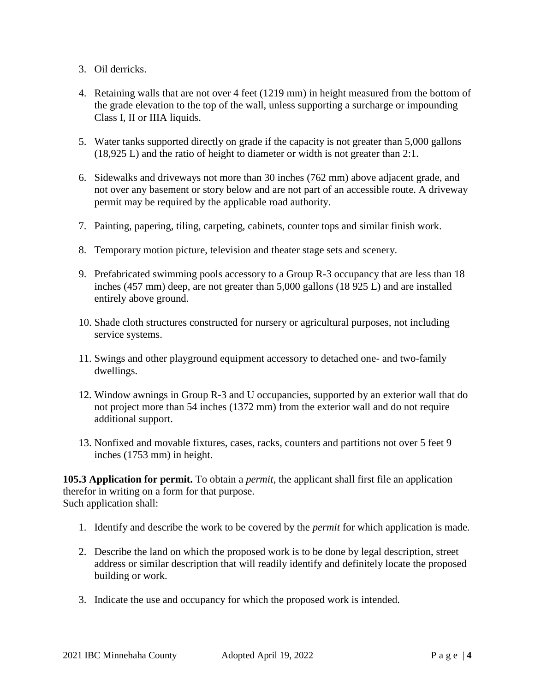- 3. Oil derricks.
- 4. Retaining walls that are not over 4 feet (1219 mm) in height measured from the bottom of the grade elevation to the top of the wall, unless supporting a surcharge or impounding Class I, II or IIIA liquids.
- 5. Water tanks supported directly on grade if the capacity is not greater than 5,000 gallons (18,925 L) and the ratio of height to diameter or width is not greater than 2:1.
- 6. Sidewalks and driveways not more than 30 inches (762 mm) above adjacent grade, and not over any basement or story below and are not part of an accessible route. A driveway permit may be required by the applicable road authority.
- 7. Painting, papering, tiling, carpeting, cabinets, counter tops and similar finish work.
- 8. Temporary motion picture, television and theater stage sets and scenery.
- 9. Prefabricated swimming pools accessory to a Group R-3 occupancy that are less than 18 inches (457 mm) deep, are not greater than 5,000 gallons (18 925 L) and are installed entirely above ground.
- 10. Shade cloth structures constructed for nursery or agricultural purposes, not including service systems.
- 11. Swings and other playground equipment accessory to detached one- and two-family dwellings.
- 12. Window awnings in Group R-3 and U occupancies, supported by an exterior wall that do not project more than 54 inches (1372 mm) from the exterior wall and do not require additional support.
- 13. Nonfixed and movable fixtures, cases, racks, counters and partitions not over 5 feet 9 inches (1753 mm) in height.

**105.3 Application for permit.** To obtain a *permit*, the applicant shall first file an application therefor in writing on a form for that purpose. Such application shall:

- 1. Identify and describe the work to be covered by the *permit* for which application is made.
- 2. Describe the land on which the proposed work is to be done by legal description, street address or similar description that will readily identify and definitely locate the proposed building or work.
- 3. Indicate the use and occupancy for which the proposed work is intended.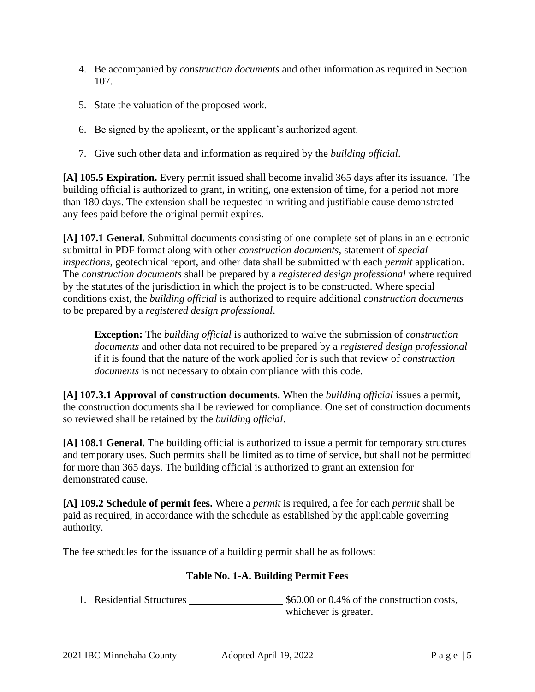- 4. Be accompanied by *construction documents* and other information as required in Section 107.
- 5. State the valuation of the proposed work.
- 6. Be signed by the applicant, or the applicant's authorized agent.
- 7. Give such other data and information as required by the *building official*.

**[A] 105.5 Expiration.** Every permit issued shall become invalid 365 days after its issuance. The building official is authorized to grant, in writing, one extension of time, for a period not more than 180 days. The extension shall be requested in writing and justifiable cause demonstrated any fees paid before the original permit expires.

**[A] 107.1 General.** Submittal documents consisting of one complete set of plans in an electronic submittal in PDF format along with other *construction documents*, statement of *special inspections*, geotechnical report, and other data shall be submitted with each *permit* application. The *construction documents* shall be prepared by a *registered design professional* where required by the statutes of the jurisdiction in which the project is to be constructed. Where special conditions exist, the *building official* is authorized to require additional *construction documents*  to be prepared by a *registered design professional*.

**Exception:** The *building official* is authorized to waive the submission of *construction documents* and other data not required to be prepared by a *registered design professional* if it is found that the nature of the work applied for is such that review of *construction documents* is not necessary to obtain compliance with this code.

**[A] 107.3.1 Approval of construction documents.** When the *building official* issues a permit, the construction documents shall be reviewed for compliance. One set of construction documents so reviewed shall be retained by the *building official*.

**[A] 108.1 General.** The building official is authorized to issue a permit for temporary structures and temporary uses. Such permits shall be limited as to time of service, but shall not be permitted for more than 365 days. The building official is authorized to grant an extension for demonstrated cause.

**[A] 109.2 Schedule of permit fees.** Where a *permit* is required, a fee for each *permit* shall be paid as required, in accordance with the schedule as established by the applicable governing authority.

The fee schedules for the issuance of a building permit shall be as follows:

## **Table No. 1-A. Building Permit Fees**

1. Residential Structures  $$60.00$  or 0.4% of the construction costs, whichever is greater.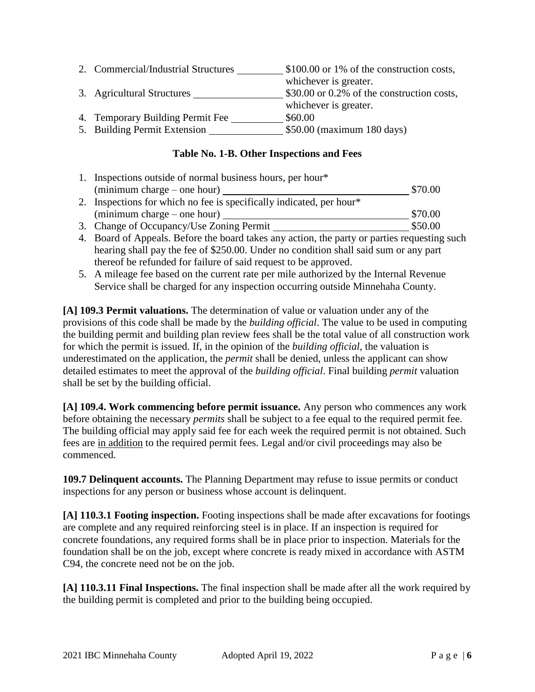| 2. Commercial/Industrial Structures | \$100.00 or 1% of the construction costs,  |
|-------------------------------------|--------------------------------------------|
|                                     | whichever is greater.                      |
| 3. Agricultural Structures          | \$30.00 or 0.2% of the construction costs, |
|                                     | whichever is greater.                      |
| 4. Temporary Building Permit Fee    | \$60.00                                    |
| 5. Building Permit Extension        | \$50.00 (maximum 180 days)                 |

## **Table No. 1-B. Other Inspections and Fees**

| 1. Inspections outside of normal business hours, per hour*           |         |
|----------------------------------------------------------------------|---------|
| (minimum charge – one hour)                                          | \$70.00 |
| 2. Inspections for which no fee is specifically indicated, per hour* |         |
| $(\text{minimum charge} - \text{one hour})$                          | \$70.00 |
| 3. Change of Occupancy/Use Zoning Permit                             | \$50.00 |

- 4. Board of Appeals. Before the board takes any action, the party or parties requesting such hearing shall pay the fee of \$250.00. Under no condition shall said sum or any part thereof be refunded for failure of said request to be approved.
- 5. A mileage fee based on the current rate per mile authorized by the Internal Revenue Service shall be charged for any inspection occurring outside Minnehaha County.

**[A] 109.3 Permit valuations.** The determination of value or valuation under any of the provisions of this code shall be made by the *building official*. The value to be used in computing the building permit and building plan review fees shall be the total value of all construction work for which the permit is issued. If, in the opinion of the *building official*, the valuation is underestimated on the application, the *permit* shall be denied, unless the applicant can show detailed estimates to meet the approval of the *building official*. Final building *permit* valuation shall be set by the building official.

**[A] 109.4. Work commencing before permit issuance.** Any person who commences any work before obtaining the necessary *permits* shall be subject to a fee equal to the required permit fee. The building official may apply said fee for each week the required permit is not obtained. Such fees are in addition to the required permit fees. Legal and/or civil proceedings may also be commenced.

**109.7 Delinquent accounts.** The Planning Department may refuse to issue permits or conduct inspections for any person or business whose account is delinquent.

**[A] 110.3.1 Footing inspection.** Footing inspections shall be made after excavations for footings are complete and any required reinforcing steel is in place. If an inspection is required for concrete foundations, any required forms shall be in place prior to inspection. Materials for the foundation shall be on the job, except where concrete is ready mixed in accordance with ASTM C94, the concrete need not be on the job.

**[A] 110.3.11 Final Inspections.** The final inspection shall be made after all the work required by the building permit is completed and prior to the building being occupied.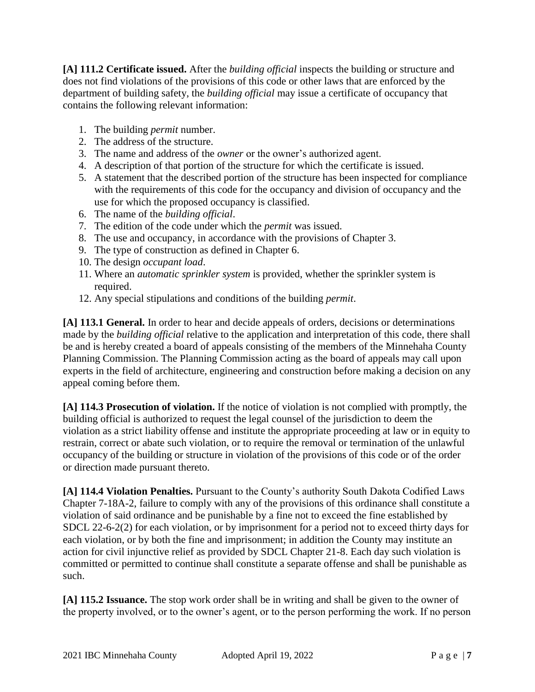**[A] 111.2 Certificate issued.** After the *building official* inspects the building or structure and does not find violations of the provisions of this code or other laws that are enforced by the department of building safety, the *building official* may issue a certificate of occupancy that contains the following relevant information:

- 1. The building *permit* number.
- 2. The address of the structure.
- 3. The name and address of the *owner* or the owner's authorized agent.
- 4. A description of that portion of the structure for which the certificate is issued.
- 5. A statement that the described portion of the structure has been inspected for compliance with the requirements of this code for the occupancy and division of occupancy and the use for which the proposed occupancy is classified.
- 6. The name of the *building official*.
- 7. The edition of the code under which the *permit* was issued.
- 8. The use and occupancy, in accordance with the provisions of Chapter 3.
- 9. The type of construction as defined in Chapter 6.
- 10. The design *occupant load*.
- 11. Where an *automatic sprinkler system* is provided, whether the sprinkler system is required.
- 12. Any special stipulations and conditions of the building *permit*.

**[A] 113.1 General.** In order to hear and decide appeals of orders, decisions or determinations made by the *building official* relative to the application and interpretation of this code, there shall be and is hereby created a board of appeals consisting of the members of the Minnehaha County Planning Commission. The Planning Commission acting as the board of appeals may call upon experts in the field of architecture, engineering and construction before making a decision on any appeal coming before them.

**[A] 114.3 Prosecution of violation.** If the notice of violation is not complied with promptly, the building official is authorized to request the legal counsel of the jurisdiction to deem the violation as a strict liability offense and institute the appropriate proceeding at law or in equity to restrain, correct or abate such violation, or to require the removal or termination of the unlawful occupancy of the building or structure in violation of the provisions of this code or of the order or direction made pursuant thereto.

**[A] 114.4 Violation Penalties.** Pursuant to the County's authority South Dakota Codified Laws Chapter 7-18A-2, failure to comply with any of the provisions of this ordinance shall constitute a violation of said ordinance and be punishable by a fine not to exceed the fine established by SDCL 22-6-2(2) for each violation, or by imprisonment for a period not to exceed thirty days for each violation, or by both the fine and imprisonment; in addition the County may institute an action for civil injunctive relief as provided by SDCL Chapter 21-8. Each day such violation is committed or permitted to continue shall constitute a separate offense and shall be punishable as such.

**[A] 115.2 Issuance.** The stop work order shall be in writing and shall be given to the owner of the property involved, or to the owner's agent, or to the person performing the work. If no person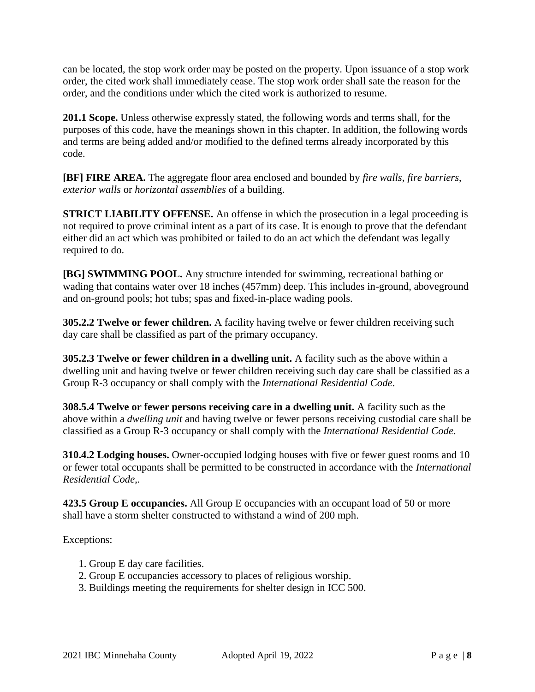can be located, the stop work order may be posted on the property. Upon issuance of a stop work order, the cited work shall immediately cease. The stop work order shall sate the reason for the order, and the conditions under which the cited work is authorized to resume.

**201.1 Scope.** Unless otherwise expressly stated, the following words and terms shall, for the purposes of this code, have the meanings shown in this chapter. In addition, the following words and terms are being added and/or modified to the defined terms already incorporated by this code.

**[BF] FIRE AREA.** The aggregate floor area enclosed and bounded by *fire walls*, *fire barriers*, *exterior walls* or *horizontal assemblies* of a building.

**STRICT LIABILITY OFFENSE.** An offense in which the prosecution in a legal proceeding is not required to prove criminal intent as a part of its case. It is enough to prove that the defendant either did an act which was prohibited or failed to do an act which the defendant was legally required to do.

**[BG] SWIMMING POOL.** Any structure intended for swimming, recreational bathing or wading that contains water over 18 inches (457mm) deep. This includes in-ground, aboveground and on-ground pools; hot tubs; spas and fixed-in-place wading pools.

**305.2.2 Twelve or fewer children.** A facility having twelve or fewer children receiving such day care shall be classified as part of the primary occupancy.

**305.2.3 Twelve or fewer children in a dwelling unit.** A facility such as the above within a dwelling unit and having twelve or fewer children receiving such day care shall be classified as a Group R-3 occupancy or shall comply with the *International Residential Code*.

**308.5.4 Twelve or fewer persons receiving care in a dwelling unit.** A facility such as the above within a *dwelling unit* and having twelve or fewer persons receiving custodial care shall be classified as a Group R-3 occupancy or shall comply with the *International Residential Code*.

**310.4.2 Lodging houses.** Owner-occupied lodging houses with five or fewer guest rooms and 10 or fewer total occupants shall be permitted to be constructed in accordance with the *International Residential Code*,.

**423.5 Group E occupancies.** All Group E occupancies with an occupant load of 50 or more shall have a storm shelter constructed to withstand a wind of 200 mph.

- 1. Group E day care facilities.
- 2. Group E occupancies accessory to places of religious worship.
- 3. Buildings meeting the requirements for shelter design in ICC 500.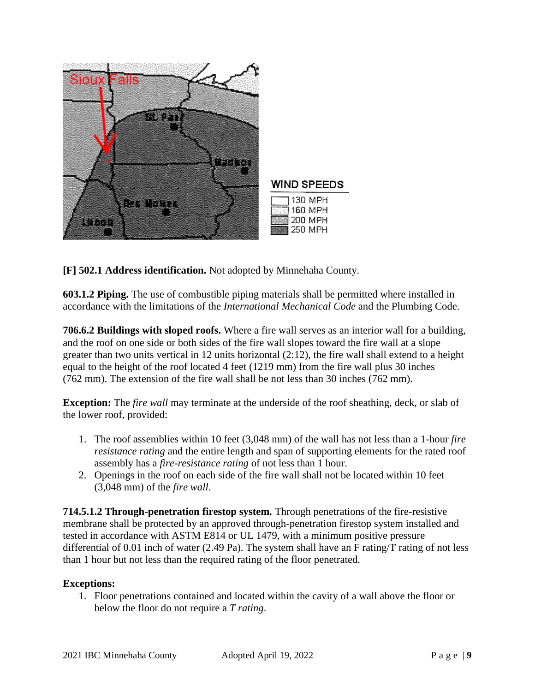

**[F] 502.1 Address identification.** Not adopted by Minnehaha County.

**603.1.2 Piping.** The use of combustible piping materials shall be permitted where installed in accordance with the limitations of the *International Mechanical Code* and the Plumbing Code.

**706.6.2 Buildings with sloped roofs.** Where a fire wall serves as an interior wall for a building, and the roof on one side or both sides of the fire wall slopes toward the fire wall at a slope greater than two units vertical in 12 units horizontal (2:12), the fire wall shall extend to a height equal to the height of the roof located 4 feet (1219 mm) from the fire wall plus 30 inches (762 mm). The extension of the fire wall shall be not less than 30 inches (762 mm).

**Exception:** The *fire wall* may terminate at the underside of the roof sheathing, deck, or slab of the lower roof, provided:

- 1. The roof assemblies within 10 feet (3,048 mm) of the wall has not less than a 1-hour *fire resistance rating* and the entire length and span of supporting elements for the rated roof assembly has a *fire-resistance rating* of not less than 1 hour.
- 2. Openings in the roof on each side of the fire wall shall not be located within 10 feet (3,048 mm) of the *fire wall*.

**714.5.1.2 Through-penetration firestop system.** Through penetrations of the fire-resistive membrane shall be protected by an approved through-penetration firestop system installed and tested in accordance with ASTM E814 or UL 1479, with a minimum positive pressure differential of 0.01 inch of water (2.49 Pa). The system shall have an F rating/T rating of not less than 1 hour but not less than the required rating of the floor penetrated.

## **Exceptions:**

1. Floor penetrations contained and located within the cavity of a wall above the floor or below the floor do not require a *T rating*.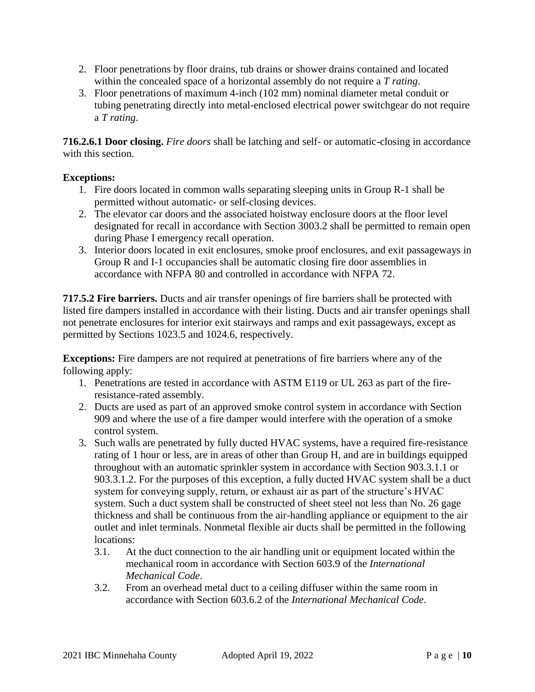- 2. Floor penetrations by floor drains, tub drains or shower drains contained and located within the concealed space of a horizontal assembly do not require a *T rating*.
- 3. Floor penetrations of maximum 4-inch (102 mm) nominal diameter metal conduit or tubing penetrating directly into metal-enclosed electrical power switchgear do not require a *T rating*.

**716.2.6.1 Door closing.** *Fire doors* shall be latching and self- or automatic-closing in accordance with this section.

## **Exceptions:**

- 1. Fire doors located in common walls separating sleeping units in Group R-1 shall be permitted without automatic- or self-closing devices.
- 2. The elevator car doors and the associated hoistway enclosure doors at the floor level designated for recall in accordance with Section 3003.2 shall be permitted to remain open during Phase I emergency recall operation.
- 3. Interior doors located in exit enclosures, smoke proof enclosures, and exit passageways in Group R and I-1 occupancies shall be automatic closing fire door assemblies in accordance with NFPA 80 and controlled in accordance with NFPA 72.

**717.5.2 Fire barriers.** Ducts and air transfer openings of fire barriers shall be protected with listed fire dampers installed in accordance with their listing. Ducts and air transfer openings shall not penetrate enclosures for interior exit stairways and ramps and exit passageways, except as permitted by Sections 1023.5 and 1024.6, respectively.

**Exceptions:** Fire dampers are not required at penetrations of fire barriers where any of the following apply:

- 1. Penetrations are tested in accordance with ASTM E119 or UL 263 as part of the fireresistance-rated assembly.
- 2. Ducts are used as part of an approved smoke control system in accordance with Section 909 and where the use of a fire damper would interfere with the operation of a smoke control system.
- 3. Such walls are penetrated by fully ducted HVAC systems, have a required fire-resistance rating of 1 hour or less, are in areas of other than Group H, and are in buildings equipped throughout with an automatic sprinkler system in accordance with Section 903.3.1.1 or 903.3.1.2. For the purposes of this exception, a fully ducted HVAC system shall be a duct system for conveying supply, return, or exhaust air as part of the structure's HVAC system. Such a duct system shall be constructed of sheet steel not less than No. 26 gage thickness and shall be continuous from the air-handling appliance or equipment to the air outlet and inlet terminals. Nonmetal flexible air ducts shall be permitted in the following locations:
	- 3.1. At the duct connection to the air handling unit or equipment located within the mechanical room in accordance with Section 603.9 of the *International Mechanical Code*.
	- 3.2. From an overhead metal duct to a ceiling diffuser within the same room in accordance with Section 603.6.2 of the *International Mechanical Code*.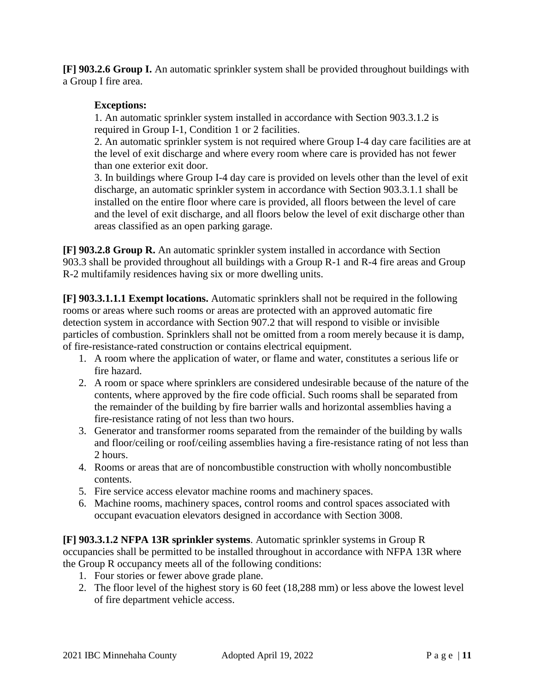**[F] 903.2.6 Group I.** An automatic sprinkler system shall be provided throughout buildings with a Group I fire area.

## **Exceptions:**

1. An automatic sprinkler system installed in accordance with Section 903.3.1.2 is required in Group I-1, Condition 1 or 2 facilities.

2. An automatic sprinkler system is not required where Group I-4 day care facilities are at the level of exit discharge and where every room where care is provided has not fewer than one exterior exit door.

3. In buildings where Group I-4 day care is provided on levels other than the level of exit discharge, an automatic sprinkler system in accordance with Section 903.3.1.1 shall be installed on the entire floor where care is provided, all floors between the level of care and the level of exit discharge, and all floors below the level of exit discharge other than areas classified as an open parking garage.

**[F] 903.2.8 Group R.** An automatic sprinkler system installed in accordance with Section 903.3 shall be provided throughout all buildings with a Group R-1 and R-4 fire areas and Group R-2 multifamily residences having six or more dwelling units.

**[F] 903.3.1.1.1 Exempt locations.** Automatic sprinklers shall not be required in the following rooms or areas where such rooms or areas are protected with an approved automatic fire detection system in accordance with Section 907.2 that will respond to visible or invisible particles of combustion. Sprinklers shall not be omitted from a room merely because it is damp, of fire-resistance-rated construction or contains electrical equipment.

- 1. A room where the application of water, or flame and water, constitutes a serious life or fire hazard.
- 2. A room or space where sprinklers are considered undesirable because of the nature of the contents, where approved by the fire code official. Such rooms shall be separated from the remainder of the building by fire barrier walls and horizontal assemblies having a fire-resistance rating of not less than two hours.
- 3. Generator and transformer rooms separated from the remainder of the building by walls and floor/ceiling or roof/ceiling assemblies having a fire-resistance rating of not less than 2 hours.
- 4. Rooms or areas that are of noncombustible construction with wholly noncombustible contents.
- 5. Fire service access elevator machine rooms and machinery spaces.
- 6. Machine rooms, machinery spaces, control rooms and control spaces associated with occupant evacuation elevators designed in accordance with Section 3008.

**[F] 903.3.1.2 NFPA 13R sprinkler systems**. Automatic sprinkler systems in Group R occupancies shall be permitted to be installed throughout in accordance with NFPA 13R where the Group R occupancy meets all of the following conditions:

- 1. Four stories or fewer above grade plane.
- 2. The floor level of the highest story is 60 feet (18,288 mm) or less above the lowest level of fire department vehicle access.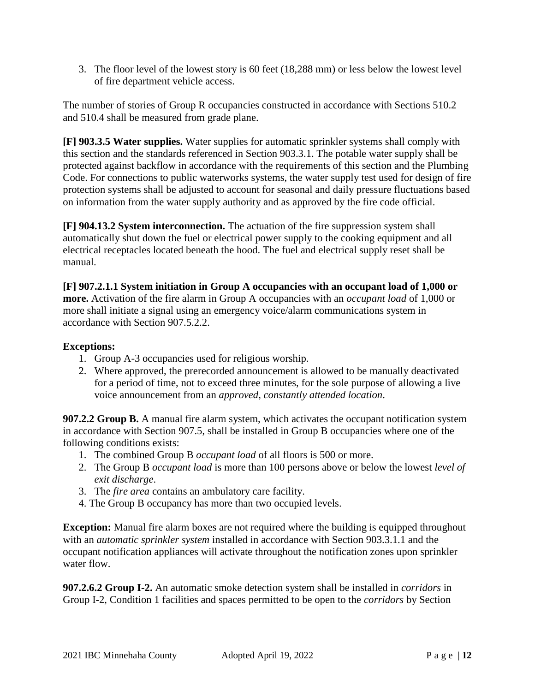3. The floor level of the lowest story is 60 feet (18,288 mm) or less below the lowest level of fire department vehicle access.

The number of stories of Group R occupancies constructed in accordance with Sections 510.2 and 510.4 shall be measured from grade plane.

**[F] 903.3.5 Water supplies.** Water supplies for automatic sprinkler systems shall comply with this section and the standards referenced in Section 903.3.1. The potable water supply shall be protected against backflow in accordance with the requirements of this section and the Plumbing Code. For connections to public waterworks systems, the water supply test used for design of fire protection systems shall be adjusted to account for seasonal and daily pressure fluctuations based on information from the water supply authority and as approved by the fire code official.

**[F] 904.13.2 System interconnection.** The actuation of the fire suppression system shall automatically shut down the fuel or electrical power supply to the cooking equipment and all electrical receptacles located beneath the hood. The fuel and electrical supply reset shall be manual.

**[F] 907.2.1.1 System initiation in Group A occupancies with an occupant load of 1,000 or more.** Activation of the fire alarm in Group A occupancies with an *occupant load* of 1,000 or more shall initiate a signal using an emergency voice/alarm communications system in accordance with Section 907.5.2.2.

## **Exceptions:**

- 1. Group A-3 occupancies used for religious worship.
- 2. Where approved, the prerecorded announcement is allowed to be manually deactivated for a period of time, not to exceed three minutes, for the sole purpose of allowing a live voice announcement from an *approved, constantly attended location*.

**907.2.2 Group B.** A manual fire alarm system, which activates the occupant notification system in accordance with Section 907.5, shall be installed in Group B occupancies where one of the following conditions exists:

- 1. The combined Group B *occupant load* of all floors is 500 or more.
- 2. The Group B *occupant load* is more than 100 persons above or below the lowest *level of exit discharge*.
- 3. The *fire area* contains an ambulatory care facility.
- 4. The Group B occupancy has more than two occupied levels.

**Exception:** Manual fire alarm boxes are not required where the building is equipped throughout with an *automatic sprinkler system* installed in accordance with Section 903.3.1.1 and the occupant notification appliances will activate throughout the notification zones upon sprinkler water flow.

**907.2.6.2 Group I-2.** An automatic smoke detection system shall be installed in *corridors* in Group I-2, Condition 1 facilities and spaces permitted to be open to the *corridors* by Section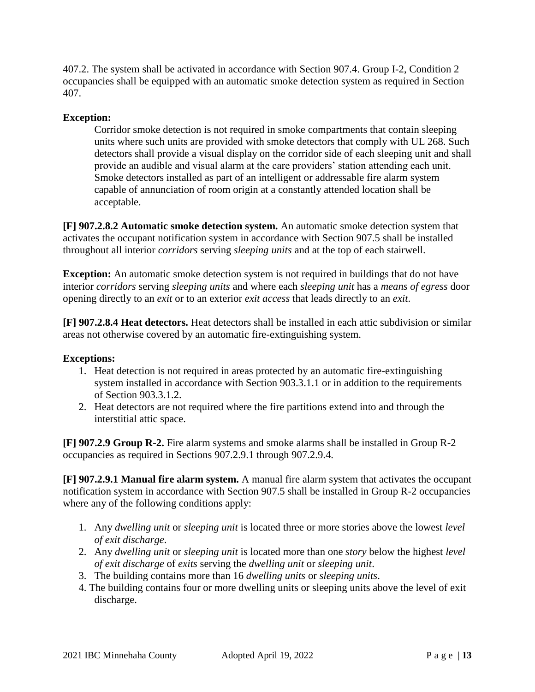407.2. The system shall be activated in accordance with Section 907.4. Group I-2, Condition 2 occupancies shall be equipped with an automatic smoke detection system as required in Section 407.

## **Exception:**

Corridor smoke detection is not required in smoke compartments that contain sleeping units where such units are provided with smoke detectors that comply with UL 268. Such detectors shall provide a visual display on the corridor side of each sleeping unit and shall provide an audible and visual alarm at the care providers' station attending each unit. Smoke detectors installed as part of an intelligent or addressable fire alarm system capable of annunciation of room origin at a constantly attended location shall be acceptable.

**[F] 907.2.8.2 Automatic smoke detection system.** An automatic smoke detection system that activates the occupant notification system in accordance with Section 907.5 shall be installed throughout all interior *corridors* serving *sleeping units* and at the top of each stairwell.

**Exception:** An automatic smoke detection system is not required in buildings that do not have interior *corridors* serving *sleeping units* and where each *sleeping unit* has a *means of egress* door opening directly to an *exit* or to an exterior *exit access* that leads directly to an *exit*.

**[F] 907.2.8.4 Heat detectors.** Heat detectors shall be installed in each attic subdivision or similar areas not otherwise covered by an automatic fire-extinguishing system.

#### **Exceptions:**

- 1. Heat detection is not required in areas protected by an automatic fire-extinguishing system installed in accordance with Section 903.3.1.1 or in addition to the requirements of Section 903.3.1.2.
- 2. Heat detectors are not required where the fire partitions extend into and through the interstitial attic space.

**[F] 907.2.9 Group R-2.** Fire alarm systems and smoke alarms shall be installed in Group R-2 occupancies as required in Sections 907.2.9.1 through 907.2.9.4.

**[F] 907.2.9.1 Manual fire alarm system.** A manual fire alarm system that activates the occupant notification system in accordance with Section 907.5 shall be installed in Group R-2 occupancies where any of the following conditions apply:

- 1. Any *dwelling unit* or *sleeping unit* is located three or more stories above the lowest *level of exit discharge*.
- 2. Any *dwelling unit* or *sleeping unit* is located more than one *story* below the highest *level of exit discharge* of *exits* serving the *dwelling unit* or *sleeping unit*.
- 3. The building contains more than 16 *dwelling units* or *sleeping units*.
- 4. The building contains four or more dwelling units or sleeping units above the level of exit discharge.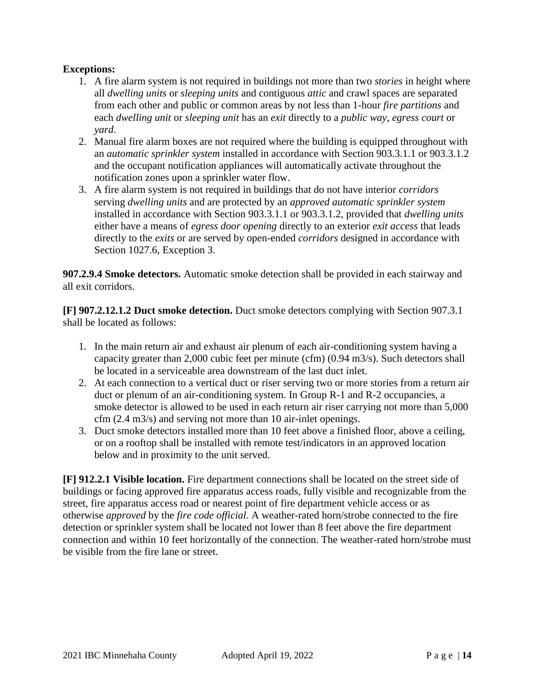## **Exceptions:**

- 1. A fire alarm system is not required in buildings not more than two *stories* in height where all *dwelling units* or *sleeping units* and contiguous *attic* and crawl spaces are separated from each other and public or common areas by not less than 1-hour *fire partitions* and each *dwelling unit* or *sleeping unit* has an *exit* directly to a *public way*, *egress court* or *yard*.
- 2. Manual fire alarm boxes are not required where the building is equipped throughout with an *automatic sprinkler system* installed in accordance with Section 903.3.1.1 or 903.3.1.2 and the occupant notification appliances will automatically activate throughout the notification zones upon a sprinkler water flow.
- 3. A fire alarm system is not required in buildings that do not have interior *corridors*  serving *dwelling units* and are protected by an *approved automatic sprinkler system*  installed in accordance with Section 903.3.1.1 or 903.3.1.2, provided that *dwelling units* either have a means of *egress door opening* directly to an exterior *exit access* that leads directly to the *exits* or are served by open-ended *corridors* designed in accordance with Section 1027.6, Exception 3.

**907.2.9.4 Smoke detectors.** Automatic smoke detection shall be provided in each stairway and all exit corridors.

**[F] 907.2.12.1.2 Duct smoke detection.** Duct smoke detectors complying with Section 907.3.1 shall be located as follows:

- 1. In the main return air and exhaust air plenum of each air-conditioning system having a capacity greater than 2,000 cubic feet per minute (cfm) (0.94 m3/s). Such detectors shall be located in a serviceable area downstream of the last duct inlet.
- 2. At each connection to a vertical duct or riser serving two or more stories from a return air duct or plenum of an air-conditioning system. In Group R-1 and R-2 occupancies, a smoke detector is allowed to be used in each return air riser carrying not more than 5,000 cfm (2.4 m3/s) and serving not more than 10 air-inlet openings.
- 3. Duct smoke detectors installed more than 10 feet above a finished floor, above a ceiling, or on a rooftop shall be installed with remote test/indicators in an approved location below and in proximity to the unit served.

**[F] 912.2.1 Visible location.** Fire department connections shall be located on the street side of buildings or facing approved fire apparatus access roads, fully visible and recognizable from the street, fire apparatus access road or nearest point of fire department vehicle access or as otherwise *approved* by the *fire code official*. A weather-rated horn/strobe connected to the fire detection or sprinkler system shall be located not lower than 8 feet above the fire department connection and within 10 feet horizontally of the connection. The weather-rated horn/strobe must be visible from the fire lane or street.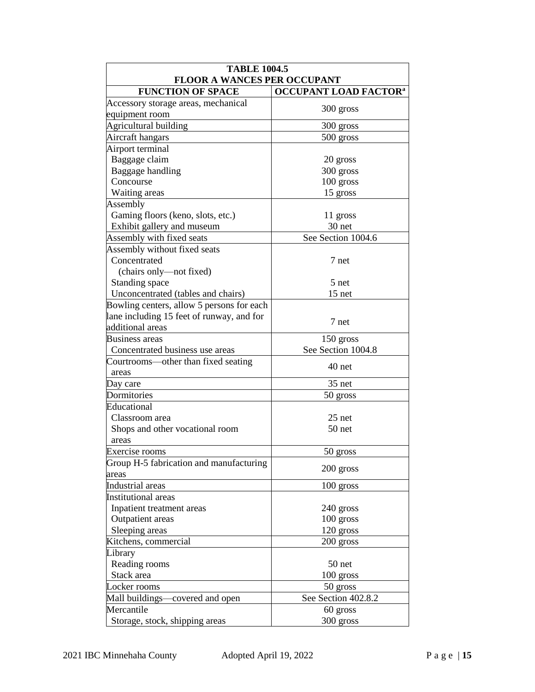| <b>TABLE 1004.5</b>                       |                                         |  |  |  |  |  |
|-------------------------------------------|-----------------------------------------|--|--|--|--|--|
| <b>FLOOR A WANCES PER OCCUPANT</b>        |                                         |  |  |  |  |  |
| <b>FUNCTION OF SPACE</b>                  | <b>OCCUPANT LOAD FACTOR<sup>a</sup></b> |  |  |  |  |  |
| Accessory storage areas, mechanical       | 300 gross                               |  |  |  |  |  |
| equipment room                            |                                         |  |  |  |  |  |
| Agricultural building                     | 300 gross                               |  |  |  |  |  |
| Aircraft hangars                          | 500 gross                               |  |  |  |  |  |
| Airport terminal                          |                                         |  |  |  |  |  |
| Baggage claim                             | 20 gross                                |  |  |  |  |  |
| Baggage handling                          | 300 gross                               |  |  |  |  |  |
| Concourse                                 | 100 gross                               |  |  |  |  |  |
| Waiting areas                             | 15 gross                                |  |  |  |  |  |
| Assembly                                  |                                         |  |  |  |  |  |
| Gaming floors (keno, slots, etc.)         | 11 gross                                |  |  |  |  |  |
| Exhibit gallery and museum                | 30 net                                  |  |  |  |  |  |
| Assembly with fixed seats                 | See Section 1004.6                      |  |  |  |  |  |
| Assembly without fixed seats              |                                         |  |  |  |  |  |
| Concentrated                              | 7 net                                   |  |  |  |  |  |
| (chairs only-not fixed)                   |                                         |  |  |  |  |  |
| Standing space                            | 5 net                                   |  |  |  |  |  |
| Unconcentrated (tables and chairs)        | 15 net                                  |  |  |  |  |  |
| Bowling centers, allow 5 persons for each |                                         |  |  |  |  |  |
| lane including 15 feet of runway, and for | 7 net                                   |  |  |  |  |  |
| additional areas                          |                                         |  |  |  |  |  |
| Business areas                            | 150 gross                               |  |  |  |  |  |
| Concentrated business use areas           | See Section 1004.8                      |  |  |  |  |  |
| Courtrooms—other than fixed seating       | 40 net                                  |  |  |  |  |  |
| areas                                     |                                         |  |  |  |  |  |
| Day care                                  | 35 net                                  |  |  |  |  |  |
| Dormitories                               | 50 gross                                |  |  |  |  |  |
| Educational                               |                                         |  |  |  |  |  |
| Classroom area                            | 25 net                                  |  |  |  |  |  |
| Shops and other vocational room           | 50 net                                  |  |  |  |  |  |
| areas                                     |                                         |  |  |  |  |  |
| Exercise rooms                            | 50 gross                                |  |  |  |  |  |
| Group H-5 fabrication and manufacturing   |                                         |  |  |  |  |  |
| areas                                     | 200 gross                               |  |  |  |  |  |
| Industrial areas                          | 100 gross                               |  |  |  |  |  |
| <b>Institutional</b> areas                |                                         |  |  |  |  |  |
| Inpatient treatment areas                 | 240 gross                               |  |  |  |  |  |
| Outpatient areas                          | $100$ gross                             |  |  |  |  |  |
| Sleeping areas                            | 120 gross                               |  |  |  |  |  |
| Kitchens, commercial                      | 200 gross                               |  |  |  |  |  |
| Library                                   |                                         |  |  |  |  |  |
| Reading rooms                             | 50 net                                  |  |  |  |  |  |
| Stack area                                | 100 gross                               |  |  |  |  |  |
| Locker rooms                              | 50 gross                                |  |  |  |  |  |
| Mall buildings—covered and open           | See Section 402.8.2                     |  |  |  |  |  |
| Mercantile                                | 60 gross                                |  |  |  |  |  |
| Storage, stock, shipping areas            | 300 gross                               |  |  |  |  |  |
|                                           |                                         |  |  |  |  |  |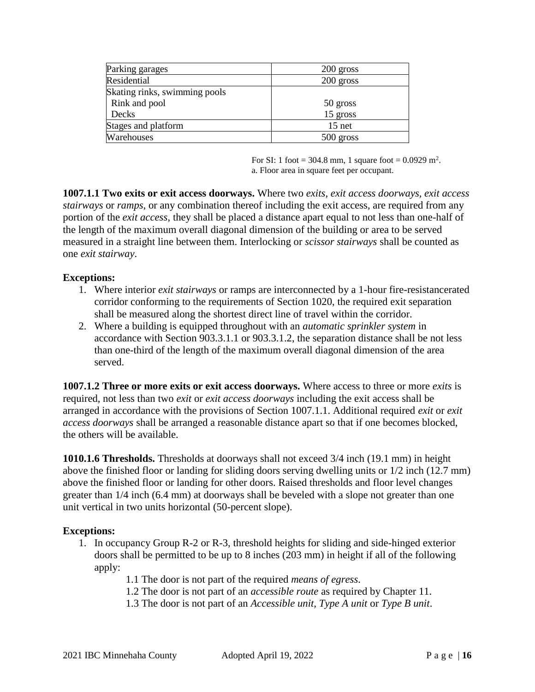| Parking garages               | 200 gross   |
|-------------------------------|-------------|
| Residential                   | $200$ gross |
| Skating rinks, swimming pools |             |
| Rink and pool                 | 50 gross    |
| Decks                         | $15$ gross  |
| Stages and platform           | $15$ net    |
| Warehouses                    | $500$ gross |

For SI: 1 foot = 304.8 mm, 1 square foot =  $0.0929$  m<sup>2</sup>. a. Floor area in square feet per occupant.

**1007.1.1 Two exits or exit access doorways.** Where two *exits, exit access doorways, exit access stairways* or *ramps*, or any combination thereof including the exit access, are required from any portion of the *exit access*, they shall be placed a distance apart equal to not less than one-half of the length of the maximum overall diagonal dimension of the building or area to be served measured in a straight line between them. Interlocking or *scissor stairways* shall be counted as one *exit stairway*.

#### **Exceptions:**

- 1. Where interior *exit stairways* or ramps are interconnected by a 1-hour fire-resistancerated corridor conforming to the requirements of Section 1020, the required exit separation shall be measured along the shortest direct line of travel within the corridor.
- 2. Where a building is equipped throughout with an *automatic sprinkler system* in accordance with Section 903.3.1.1 or 903.3.1.2, the separation distance shall be not less than one-third of the length of the maximum overall diagonal dimension of the area served.

**1007.1.2 Three or more exits or exit access doorways.** Where access to three or more *exits* is required, not less than two *exit* or *exit access doorways* including the exit access shall be arranged in accordance with the provisions of Section 1007.1.1. Additional required *exit* or *exit access doorways* shall be arranged a reasonable distance apart so that if one becomes blocked, the others will be available.

**1010.1.6 Thresholds.** Thresholds at doorways shall not exceed 3/4 inch (19.1 mm) in height above the finished floor or landing for sliding doors serving dwelling units or 1/2 inch (12.7 mm) above the finished floor or landing for other doors. Raised thresholds and floor level changes greater than 1/4 inch (6.4 mm) at doorways shall be beveled with a slope not greater than one unit vertical in two units horizontal (50-percent slope).

- 1. In occupancy Group R-2 or R-3, threshold heights for sliding and side-hinged exterior doors shall be permitted to be up to 8 inches (203 mm) in height if all of the following apply:
	- 1.1 The door is not part of the required *means of egress*.
	- 1.2 The door is not part of an *accessible route* as required by Chapter 11.
	- 1.3 The door is not part of an *Accessible unit, Type A unit* or *Type B unit*.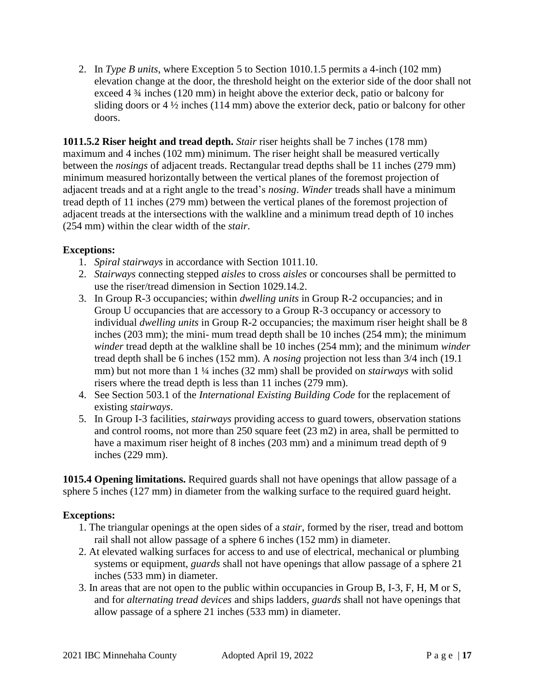2. In *Type B units*, where Exception 5 to Section 1010.1.5 permits a 4-inch (102 mm) elevation change at the door, the threshold height on the exterior side of the door shall not exceed 4 ¾ inches (120 mm) in height above the exterior deck, patio or balcony for sliding doors or  $4\frac{1}{2}$  inches (114 mm) above the exterior deck, patio or balcony for other doors.

**1011.5.2 Riser height and tread depth.** *Stair* riser heights shall be 7 inches (178 mm) maximum and 4 inches (102 mm) minimum. The riser height shall be measured vertically between the *nosings* of adjacent treads. Rectangular tread depths shall be 11 inches (279 mm) minimum measured horizontally between the vertical planes of the foremost projection of adjacent treads and at a right angle to the tread's *nosing*. *Winder* treads shall have a minimum tread depth of 11 inches (279 mm) between the vertical planes of the foremost projection of adjacent treads at the intersections with the walkline and a minimum tread depth of 10 inches (254 mm) within the clear width of the *stair*.

## **Exceptions:**

- 1. *Spiral stairways* in accordance with Section 1011.10.
- 2. *Stairways* connecting stepped *aisles* to cross *aisles* or concourses shall be permitted to use the riser/tread dimension in Section 1029.14.2.
- 3. In Group R-3 occupancies; within *dwelling units* in Group R-2 occupancies; and in Group U occupancies that are accessory to a Group R-3 occupancy or accessory to individual *dwelling units* in Group R-2 occupancies; the maximum riser height shall be 8 inches (203 mm); the mini- mum tread depth shall be 10 inches (254 mm); the minimum *winder* tread depth at the walkline shall be 10 inches (254 mm); and the minimum *winder* tread depth shall be 6 inches (152 mm). A *nosing* projection not less than 3/4 inch (19.1 mm) but not more than 1 ¼ inches (32 mm) shall be provided on *stairways* with solid risers where the tread depth is less than 11 inches (279 mm).
- 4. See Section 503.1 of the *International Existing Building Code* for the replacement of existing *stairways*.
- 5. In Group I-3 facilities, *stairways* providing access to guard towers, observation stations and control rooms, not more than 250 square feet (23 m2) in area, shall be permitted to have a maximum riser height of 8 inches (203 mm) and a minimum tread depth of 9 inches (229 mm).

**1015.4 Opening limitations.** Required guards shall not have openings that allow passage of a sphere 5 inches (127 mm) in diameter from the walking surface to the required guard height.

- 1. The triangular openings at the open sides of a *stair*, formed by the riser, tread and bottom rail shall not allow passage of a sphere 6 inches (152 mm) in diameter.
- 2. At elevated walking surfaces for access to and use of electrical, mechanical or plumbing systems or equipment, *guards* shall not have openings that allow passage of a sphere 21 inches (533 mm) in diameter.
- 3. In areas that are not open to the public within occupancies in Group B, I-3, F, H, M or S, and for *alternating tread devices* and ships ladders, *guards* shall not have openings that allow passage of a sphere 21 inches (533 mm) in diameter.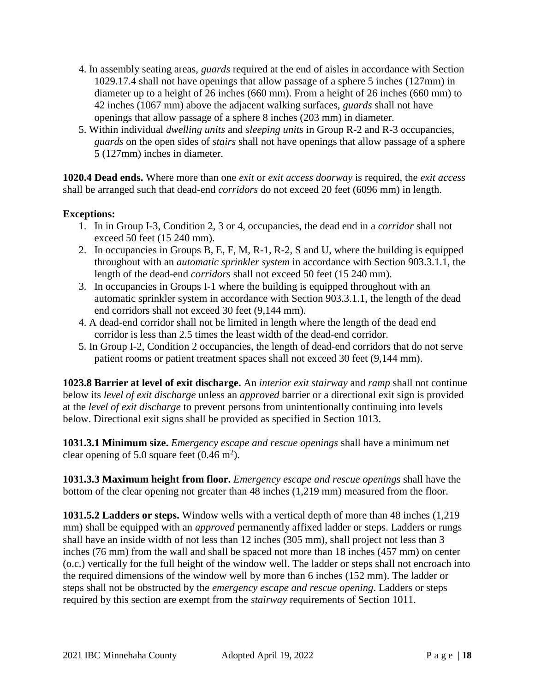- 4. In assembly seating areas, *guards* required at the end of aisles in accordance with Section 1029.17.4 shall not have openings that allow passage of a sphere 5 inches (127mm) in diameter up to a height of 26 inches (660 mm). From a height of 26 inches (660 mm) to 42 inches (1067 mm) above the adjacent walking surfaces, *guards* shall not have openings that allow passage of a sphere 8 inches (203 mm) in diameter.
- 5. Within individual *dwelling units* and *sleeping units* in Group R-2 and R-3 occupancies, *guards* on the open sides of *stairs* shall not have openings that allow passage of a sphere 5 (127mm) inches in diameter.

**1020.4 Dead ends.** Where more than one *exit* or *exit access doorway* is required, the *exit access* shall be arranged such that dead-end *corridors* do not exceed 20 feet (6096 mm) in length.

## **Exceptions:**

- 1. In in Group I-3, Condition 2, 3 or 4, occupancies, the dead end in a *corridor* shall not exceed 50 feet (15 240 mm).
- 2. In occupancies in Groups B, E, F, M, R-1, R-2, S and U, where the building is equipped throughout with an *automatic sprinkler system* in accordance with Section 903.3.1.1, the length of the dead-end *corridors* shall not exceed 50 feet (15 240 mm).
- 3. In occupancies in Groups I-1 where the building is equipped throughout with an automatic sprinkler system in accordance with Section 903.3.1.1, the length of the dead end corridors shall not exceed 30 feet (9,144 mm).
- 4. A dead-end corridor shall not be limited in length where the length of the dead end corridor is less than 2.5 times the least width of the dead-end corridor.
- 5. In Group I-2, Condition 2 occupancies, the length of dead-end corridors that do not serve patient rooms or patient treatment spaces shall not exceed 30 feet (9,144 mm).

**1023.8 Barrier at level of exit discharge.** An *interior exit stairway* and *ramp* shall not continue below its *level of exit discharge* unless an *approved* barrier or a directional exit sign is provided at the *level of exit discharge* to prevent persons from unintentionally continuing into levels below. Directional exit signs shall be provided as specified in Section 1013.

**1031.3.1 Minimum size.** *Emergency escape and rescue openings* shall have a minimum net clear opening of 5.0 square feet  $(0.46 \text{ m}^2)$ .

**1031.3.3 Maximum height from floor.** *Emergency escape and rescue openings* shall have the bottom of the clear opening not greater than 48 inches (1,219 mm) measured from the floor.

**1031.5.2 Ladders or steps.** Window wells with a vertical depth of more than 48 inches (1,219 mm) shall be equipped with an *approved* permanently affixed ladder or steps. Ladders or rungs shall have an inside width of not less than 12 inches (305 mm), shall project not less than 3 inches (76 mm) from the wall and shall be spaced not more than 18 inches (457 mm) on center (o.c.) vertically for the full height of the window well. The ladder or steps shall not encroach into the required dimensions of the window well by more than 6 inches (152 mm). The ladder or steps shall not be obstructed by the *emergency escape and rescue opening*. Ladders or steps required by this section are exempt from the *stairway* requirements of Section 1011.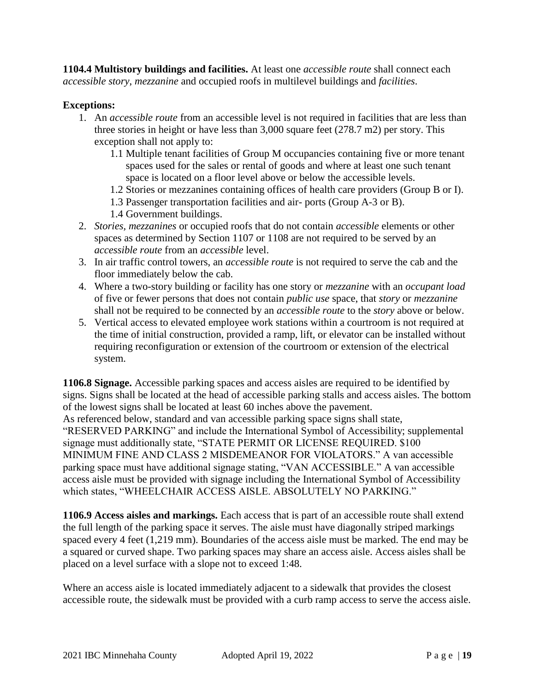**1104.4 Multistory buildings and facilities.** At least one *accessible route* shall connect each *accessible story*, *mezzanine* and occupied roofs in multilevel buildings and *facilities*.

## **Exceptions:**

- 1. An *accessible route* from an accessible level is not required in facilities that are less than three stories in height or have less than 3,000 square feet (278.7 m2) per story. This exception shall not apply to:
	- 1.1 Multiple tenant facilities of Group M occupancies containing five or more tenant spaces used for the sales or rental of goods and where at least one such tenant space is located on a floor level above or below the accessible levels.
	- 1.2 Stories or mezzanines containing offices of health care providers (Group B or I).
	- 1.3 Passenger transportation facilities and air- ports (Group A-3 or B).
	- 1.4 Government buildings.
- 2. *Stories, mezzanines* or occupied roofs that do not contain *accessible* elements or other spaces as determined by Section 1107 or 1108 are not required to be served by an *accessible route* from an *accessible* level.
- 3. In air traffic control towers, an *accessible route* is not required to serve the cab and the floor immediately below the cab.
- 4. Where a two-story building or facility has one story or *mezzanine* with an *occupant load* of five or fewer persons that does not contain *public use* space, that *story* or *mezzanine* shall not be required to be connected by an *accessible route* to the *story* above or below.
- 5. Vertical access to elevated employee work stations within a courtroom is not required at the time of initial construction, provided a ramp, lift, or elevator can be installed without requiring reconfiguration or extension of the courtroom or extension of the electrical system.

**1106.8 Signage.** Accessible parking spaces and access aisles are required to be identified by signs. Signs shall be located at the head of accessible parking stalls and access aisles. The bottom of the lowest signs shall be located at least 60 inches above the pavement. As referenced below, standard and van accessible parking space signs shall state, "RESERVED PARKING" and include the International Symbol of Accessibility; supplemental signage must additionally state, "STATE PERMIT OR LICENSE REQUIRED. \$100 MINIMUM FINE AND CLASS 2 MISDEMEANOR FOR VIOLATORS." A van accessible parking space must have additional signage stating, "VAN ACCESSIBLE." A van accessible access aisle must be provided with signage including the International Symbol of Accessibility which states, "WHEELCHAIR ACCESS AISLE. ABSOLUTELY NO PARKING."

**1106.9 Access aisles and markings.** Each access that is part of an accessible route shall extend the full length of the parking space it serves. The aisle must have diagonally striped markings spaced every 4 feet (1,219 mm). Boundaries of the access aisle must be marked. The end may be a squared or curved shape. Two parking spaces may share an access aisle. Access aisles shall be placed on a level surface with a slope not to exceed 1:48.

Where an access aisle is located immediately adjacent to a sidewalk that provides the closest accessible route, the sidewalk must be provided with a curb ramp access to serve the access aisle.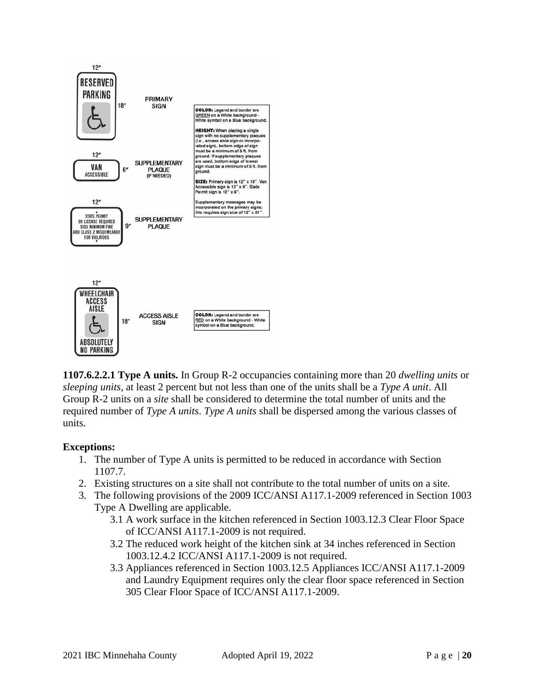

**1107.6.2.2.1 Type A units.** In Group R-2 occupancies containing more than 20 *dwelling units* or *sleeping units*, at least 2 percent but not less than one of the units shall be a *Type A unit*. All Group R-2 units on a *site* shall be considered to determine the total number of units and the required number of *Type A units*. *Type A units* shall be dispersed among the various classes of units.

- 1. The number of Type A units is permitted to be reduced in accordance with Section 1107.7.
- 2. Existing structures on a site shall not contribute to the total number of units on a site.
- 3. The following provisions of the 2009 ICC/ANSI A117.1-2009 referenced in Section 1003 Type A Dwelling are applicable.
	- 3.1 A work surface in the kitchen referenced in Section 1003.12.3 Clear Floor Space of ICC/ANSI A117.1-2009 is not required.
	- 3.2 The reduced work height of the kitchen sink at 34 inches referenced in Section 1003.12.4.2 ICC/ANSI A117.1-2009 is not required.
	- 3.3 Appliances referenced in Section 1003.12.5 Appliances ICC/ANSI A117.1-2009 and Laundry Equipment requires only the clear floor space referenced in Section 305 Clear Floor Space of ICC/ANSI A117.1-2009.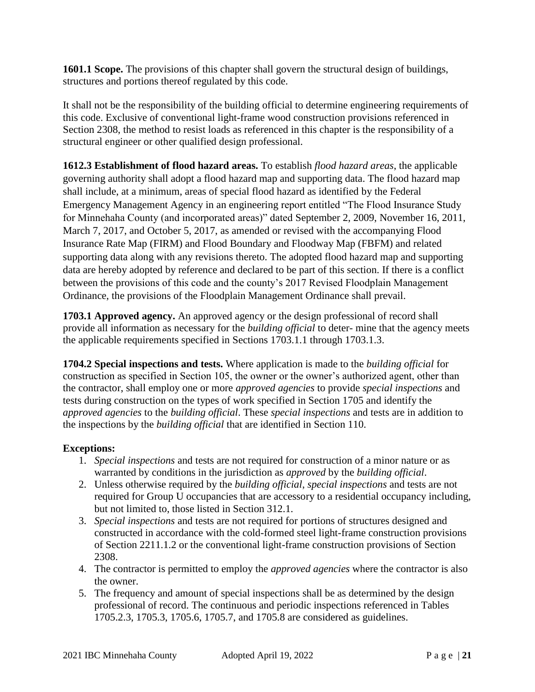**1601.1 Scope.** The provisions of this chapter shall govern the structural design of buildings, structures and portions thereof regulated by this code.

It shall not be the responsibility of the building official to determine engineering requirements of this code. Exclusive of conventional light-frame wood construction provisions referenced in Section 2308, the method to resist loads as referenced in this chapter is the responsibility of a structural engineer or other qualified design professional.

**1612.3 Establishment of flood hazard areas.** To establish *flood hazard areas*, the applicable governing authority shall adopt a flood hazard map and supporting data. The flood hazard map shall include, at a minimum, areas of special flood hazard as identified by the Federal Emergency Management Agency in an engineering report entitled "The Flood Insurance Study for Minnehaha County (and incorporated areas)" dated September 2, 2009, November 16, 2011, March 7, 2017, and October 5, 2017, as amended or revised with the accompanying Flood Insurance Rate Map (FIRM) and Flood Boundary and Floodway Map (FBFM) and related supporting data along with any revisions thereto. The adopted flood hazard map and supporting data are hereby adopted by reference and declared to be part of this section. If there is a conflict between the provisions of this code and the county's 2017 Revised Floodplain Management Ordinance, the provisions of the Floodplain Management Ordinance shall prevail.

**1703.1 Approved agency.** An approved agency or the design professional of record shall provide all information as necessary for the *building official* to deter- mine that the agency meets the applicable requirements specified in Sections 1703.1.1 through 1703.1.3.

**1704.2 Special inspections and tests.** Where application is made to the *building official* for construction as specified in Section 105, the owner or the owner's authorized agent, other than the contractor, shall employ one or more *approved agencies* to provide *special inspections* and tests during construction on the types of work specified in Section 1705 and identify the *approved agencies* to the *building official*. These *special inspections* and tests are in addition to the inspections by the *building official* that are identified in Section 110.

- 1. *Special inspections* and tests are not required for construction of a minor nature or as warranted by conditions in the jurisdiction as *approved* by the *building official*.
- 2. Unless otherwise required by the *building official*, *special inspections* and tests are not required for Group U occupancies that are accessory to a residential occupancy including, but not limited to, those listed in Section 312.1.
- 3. *Special inspections* and tests are not required for portions of structures designed and constructed in accordance with the cold-formed steel light-frame construction provisions of Section 2211.1.2 or the conventional light-frame construction provisions of Section 2308.
- 4. The contractor is permitted to employ the *approved agencies* where the contractor is also the owner.
- 5. The frequency and amount of special inspections shall be as determined by the design professional of record. The continuous and periodic inspections referenced in Tables 1705.2.3, 1705.3, 1705.6, 1705.7, and 1705.8 are considered as guidelines.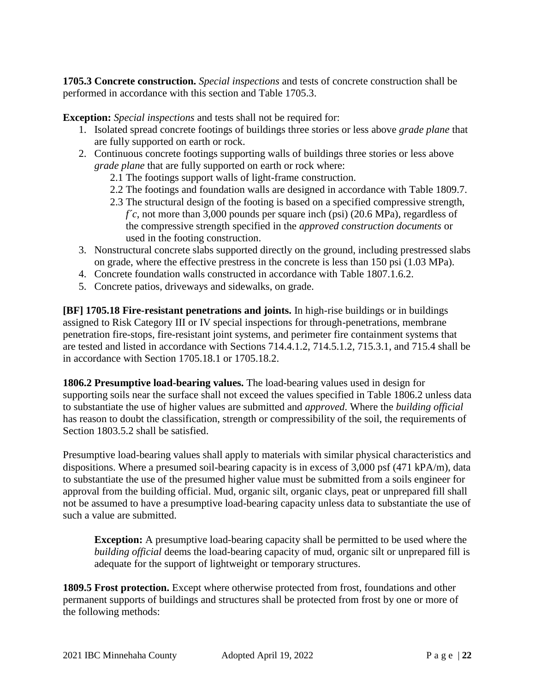**1705.3 Concrete construction.** *Special inspections* and tests of concrete construction shall be performed in accordance with this section and Table 1705.3.

**Exception:** *Special inspections* and tests shall not be required for:

- 1. Isolated spread concrete footings of buildings three stories or less above *grade plane* that are fully supported on earth or rock.
- 2. Continuous concrete footings supporting walls of buildings three stories or less above *grade plane* that are fully supported on earth or rock where:
	- 2.1 The footings support walls of light-frame construction.
	- 2.2 The footings and foundation walls are designed in accordance with Table 1809.7.
	- 2.3 The structural design of the footing is based on a specified compressive strength, *f´c*, not more than 3,000 pounds per square inch (psi) (20.6 MPa), regardless of the compressive strength specified in the *approved construction documents* or used in the footing construction.
- 3. Nonstructural concrete slabs supported directly on the ground, including prestressed slabs on grade, where the effective prestress in the concrete is less than 150 psi (1.03 MPa).
- 4. Concrete foundation walls constructed in accordance with Table 1807.1.6.2.
- 5. Concrete patios, driveways and sidewalks, on grade.

**[BF] 1705.18 Fire-resistant penetrations and joints.** In high-rise buildings or in buildings assigned to Risk Category III or IV special inspections for through-penetrations, membrane penetration fire-stops, fire-resistant joint systems, and perimeter fire containment systems that are tested and listed in accordance with Sections 714.4.1.2, 714.5.1.2, 715.3.1, and 715.4 shall be in accordance with Section 1705.18.1 or 1705.18.2.

**1806.2 Presumptive load-bearing values.** The load-bearing values used in design for supporting soils near the surface shall not exceed the values specified in Table 1806.2 unless data to substantiate the use of higher values are submitted and *approved*. Where the *building official* has reason to doubt the classification, strength or compressibility of the soil, the requirements of Section 1803.5.2 shall be satisfied.

Presumptive load-bearing values shall apply to materials with similar physical characteristics and dispositions. Where a presumed soil-bearing capacity is in excess of 3,000 psf (471 kPA/m), data to substantiate the use of the presumed higher value must be submitted from a soils engineer for approval from the building official. Mud, organic silt, organic clays, peat or unprepared fill shall not be assumed to have a presumptive load-bearing capacity unless data to substantiate the use of such a value are submitted.

**Exception:** A presumptive load-bearing capacity shall be permitted to be used where the *building official* deems the load-bearing capacity of mud, organic silt or unprepared fill is adequate for the support of lightweight or temporary structures.

**1809.5 Frost protection.** Except where otherwise protected from frost, foundations and other permanent supports of buildings and structures shall be protected from frost by one or more of the following methods: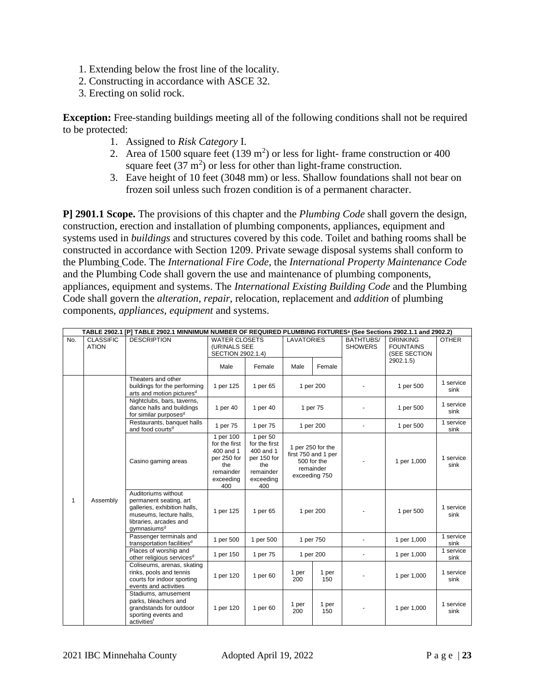- 1. Extending below the frost line of the locality.
- 2. Constructing in accordance with ASCE 32.
- 3. Erecting on solid rock.

**Exception:** Free-standing buildings meeting all of the following conditions shall not be required to be protected:

- 1. Assigned to *Risk Category* I.
- 2. Area of 1500 square feet  $(139 \text{ m}^2)$  or less for light-frame construction or 400 square feet  $(37 \text{ m}^2)$  or less for other than light-frame construction.
- 3. Eave height of 10 feet (3048 mm) or less. Shallow foundations shall not bear on frozen soil unless such frozen condition is of a permanent character.

**P] 2901.1 Scope.** The provisions of this chapter and the *Plumbing Code* shall govern the design, construction, erection and installation of plumbing components, appliances, equipment and systems used in *buildings* and structures covered by this code. Toilet and bathing rooms shall be constructed in accordance with Section 1209. Private sewage disposal systems shall conform to the Plumbing Code. The *International Fire Code*, the *International Property Maintenance Code*  and the Plumbing Code shall govern the use and maintenance of plumbing components, appliances, equipment and systems. The *International Existing Building Code* and the Plumbing Code shall govern the *alteration*, *repair*, relocation, replacement and *addition* of plumbing components, *appliances*, *equipment* and systems.

|     | TABLE 2902.1 [P] TABLE 2902.1 MINNIMUM NUMBER OF REQUIRED PLUMBING FIXTURES <sup>a</sup> (See Sections 2902.1.1 and 2902.2) |                                                                                                                                                               |                                                                                                |                                                                                               |                                                                                       |              |                             |                                                     |                   |
|-----|-----------------------------------------------------------------------------------------------------------------------------|---------------------------------------------------------------------------------------------------------------------------------------------------------------|------------------------------------------------------------------------------------------------|-----------------------------------------------------------------------------------------------|---------------------------------------------------------------------------------------|--------------|-----------------------------|-----------------------------------------------------|-------------------|
| No. | <b>CLASSIFIC</b><br><b>ATION</b>                                                                                            | <b>DESCRIPTION</b>                                                                                                                                            | <b>WATER CLOSETS</b><br>(URINALS SEE<br>SECTION 2902.1.4)                                      |                                                                                               | <b>LAVATORIES</b>                                                                     |              | BATHTUBS/<br><b>SHOWERS</b> | <b>DRINKING</b><br><b>FOUNTAINS</b><br>(SEE SECTION | <b>OTHER</b>      |
|     |                                                                                                                             |                                                                                                                                                               | Male                                                                                           | Female                                                                                        | Male                                                                                  | Female       |                             | 2902.1.5                                            |                   |
|     |                                                                                                                             | Theaters and other<br>buildings for the performing<br>arts and motion pictures <sup>d</sup>                                                                   | 1 per 125                                                                                      | 1 per 65                                                                                      |                                                                                       | 1 per 200    |                             | 1 per 500                                           | 1 service<br>sink |
|     |                                                                                                                             | Nightclubs, bars, taverns,<br>dance halls and buildings<br>for similar purposes <sup>d</sup>                                                                  | 1 per 40                                                                                       | 1 per 40                                                                                      |                                                                                       | 1 per 75     |                             | 1 per 500                                           | 1 service<br>sink |
|     |                                                                                                                             | Restaurants, banquet halls<br>and food courts <sup>d</sup>                                                                                                    | 1 per 75                                                                                       | 1 per 75                                                                                      |                                                                                       | 1 per 200    | $\blacksquare$              | 1 per 500                                           | 1 service<br>sink |
| 1   | Assembly                                                                                                                    | Casino gaming areas                                                                                                                                           | 1 per 100<br>for the first<br>400 and 1<br>per 250 for<br>the<br>remainder<br>exceeding<br>400 | 1 per 50<br>for the first<br>400 and 1<br>per 150 for<br>the<br>remainder<br>exceeding<br>400 | 1 per 250 for the<br>first 750 and 1 per<br>500 for the<br>remainder<br>exceeding 750 |              |                             | 1 per 1,000                                         | 1 service<br>sink |
|     |                                                                                                                             | Auditoriums without<br>permanent seating, art<br>galleries, exhibition halls,<br>museums, lecture halls,<br>libraries, arcades and<br>gymnasiums <sup>d</sup> | 1 per 125                                                                                      | 1 per 65                                                                                      |                                                                                       | 1 per 200    |                             | 1 per 500                                           | 1 service<br>sink |
|     |                                                                                                                             | Passenger terminals and<br>transportation facilities <sup>d</sup>                                                                                             | 1 per 500                                                                                      | 1 per 500                                                                                     | 1 per 750                                                                             |              | ä,                          | 1 per 1,000                                         | 1 service<br>sink |
|     |                                                                                                                             | Places of worship and<br>other religious services <sup>d</sup>                                                                                                | 1 per 150                                                                                      | 1 per 75                                                                                      | 1 per 200                                                                             |              | $\blacksquare$              | 1 per 1,000                                         | 1 service<br>sink |
|     |                                                                                                                             | Coliseums, arenas, skating<br>rinks, pools and tennis<br>courts for indoor sporting<br>events and activities                                                  | 1 per 120                                                                                      | 1 per 60                                                                                      | 1 per<br>200                                                                          | 1 per<br>150 |                             | 1 per 1,000                                         | 1 service<br>sink |
|     |                                                                                                                             | Stadiums, amusement<br>parks, bleachers and<br>grandstands for outdoor<br>sporting events and<br>activities <sup>f</sup>                                      | 1 per 120                                                                                      | 1 per 60                                                                                      | 1 per<br>200                                                                          | 1 per<br>150 |                             | 1 per 1,000                                         | 1 service<br>sink |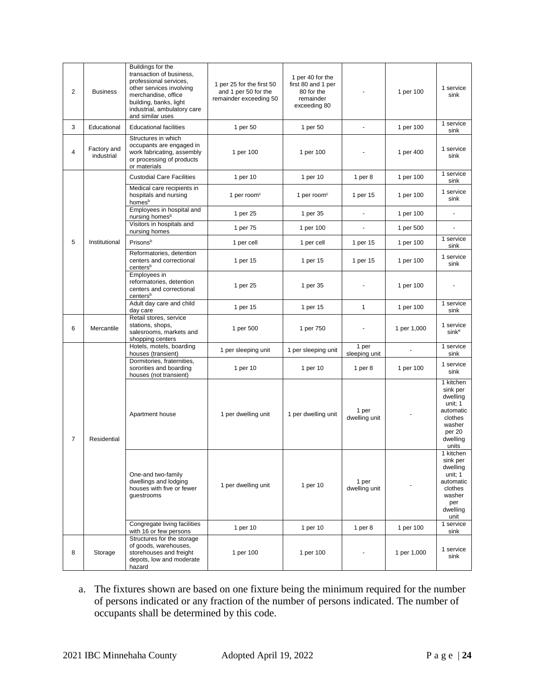| 2              | <b>Business</b>           | Buildings for the<br>transaction of business,<br>professional services,<br>other services involving<br>merchandise, office<br>building, banks, light<br>industrial, ambulatory care<br>and similar uses | 1 per 25 for the first 50<br>and 1 per 50 for the<br>remainder exceeding 50 | 1 per 40 for the<br>first 80 and 1 per<br>80 for the<br>remainder<br>exceeding 80 |                        | 1 per 100   | 1 service<br>sink                                                                                             |
|----------------|---------------------------|---------------------------------------------------------------------------------------------------------------------------------------------------------------------------------------------------------|-----------------------------------------------------------------------------|-----------------------------------------------------------------------------------|------------------------|-------------|---------------------------------------------------------------------------------------------------------------|
| 3              | Educational               | <b>Educational facilities</b>                                                                                                                                                                           | 1 per 50                                                                    | 1 per 50                                                                          | $\blacksquare$         | 1 per 100   | 1 service<br>sink                                                                                             |
| 4              | Factory and<br>industrial | Structures in which<br>occupants are engaged in<br>work fabricating, assembly<br>or processing of products<br>or materials                                                                              | 1 per 100                                                                   | 1 per 100                                                                         |                        | 1 per 400   | 1 service<br>sink                                                                                             |
|                |                           | <b>Custodial Care Facilities</b>                                                                                                                                                                        | 1 per 10                                                                    | 1 per 10                                                                          | 1 per $8$              | 1 per 100   | 1 service<br>sink                                                                                             |
|                |                           | Medical care recipients in<br>hospitals and nursing<br>homesb                                                                                                                                           | 1 per room <sup>c</sup>                                                     | 1 per room <sup>c</sup>                                                           | 1 per 15               | 1 per 100   | 1 service<br>sink                                                                                             |
|                |                           | Employees in hospital and<br>nursing homes <sup>b</sup>                                                                                                                                                 | 1 per 25                                                                    | 1 per 35                                                                          | $\omega$               | 1 per 100   | $\blacksquare$                                                                                                |
|                |                           | Visitors in hospitals and<br>nursing homes                                                                                                                                                              | 1 per 75                                                                    | 1 per 100                                                                         | $\blacksquare$         | 1 per 500   |                                                                                                               |
| 5              | Institutional             | Prisonsb                                                                                                                                                                                                | 1 per cell                                                                  | 1 per cell                                                                        | 1 per 15               | 1 per 100   | 1 service<br>sink                                                                                             |
|                |                           | Reformatories, detention<br>centers and correctional<br>centers <sup>b</sup>                                                                                                                            | 1 per 15                                                                    | 1 per 15                                                                          | 1 per 15               | 1 per 100   | 1 service<br>sink                                                                                             |
|                |                           | Emplovees in<br>reformatories, detention<br>centers and correctional<br>centers <sup>b</sup>                                                                                                            | 1 per 25                                                                    | 1 per 35                                                                          |                        | 1 per 100   |                                                                                                               |
|                |                           | Adult day care and child<br>day care                                                                                                                                                                    | 1 per 15                                                                    | 1 per 15                                                                          | $\mathbf{1}$           | 1 per 100   | 1 service<br>sink                                                                                             |
| 6              | Mercantile                | Retail stores, service<br>stations, shops,<br>salesrooms, markets and<br>shopping centers                                                                                                               | 1 per 500                                                                   | 1 per 750                                                                         |                        | 1 per 1,000 | 1 service<br>sink <sup>e</sup>                                                                                |
|                |                           | Hotels, motels, boarding<br>houses (transient)                                                                                                                                                          | 1 per sleeping unit                                                         | 1 per sleeping unit                                                               | 1 per<br>sleeping unit |             | 1 service<br>sink                                                                                             |
|                |                           | Dormitories, fraternities,<br>sororities and boarding<br>houses (not transient)                                                                                                                         | 1 per 10                                                                    | 1 per 10                                                                          | 1 per $8$              | 1 per 100   | 1 service<br>sink                                                                                             |
| $\overline{7}$ | Residential               | Apartment house                                                                                                                                                                                         | 1 per dwelling unit                                                         | 1 per dwelling unit                                                               | 1 per<br>dwelling unit |             | 1 kitchen<br>sink per<br>dwelling<br>unit; 1<br>automatic<br>clothes<br>washer<br>per 20<br>dwelling<br>units |
|                |                           | One-and two-family<br>dwellings and lodging<br>houses with five or fewer<br>guestrooms                                                                                                                  | 1 per dwelling unit                                                         | 1 per 10                                                                          | 1 per<br>dwelling unit |             | 1 kitchen<br>sink per<br>dwelling<br>unit; 1<br>automatic<br>clothes<br>washer<br>per<br>dwelling<br>unit     |
|                |                           | Congregate living facilities<br>with 16 or few persons                                                                                                                                                  | 1 per 10                                                                    | 1 per 10                                                                          | 1 per $8$              | 1 per 100   | 1 service<br>sink                                                                                             |
| 8              | Storage                   | Structures for the storage<br>of goods, warehouses,<br>storehouses and freight<br>depots, low and moderate<br>hazard                                                                                    | 1 per 100                                                                   | 1 per 100                                                                         |                        | 1 per 1,000 | 1 service<br>sink                                                                                             |

a. The fixtures shown are based on one fixture being the minimum required for the number of persons indicated or any fraction of the number of persons indicated. The number of occupants shall be determined by this code.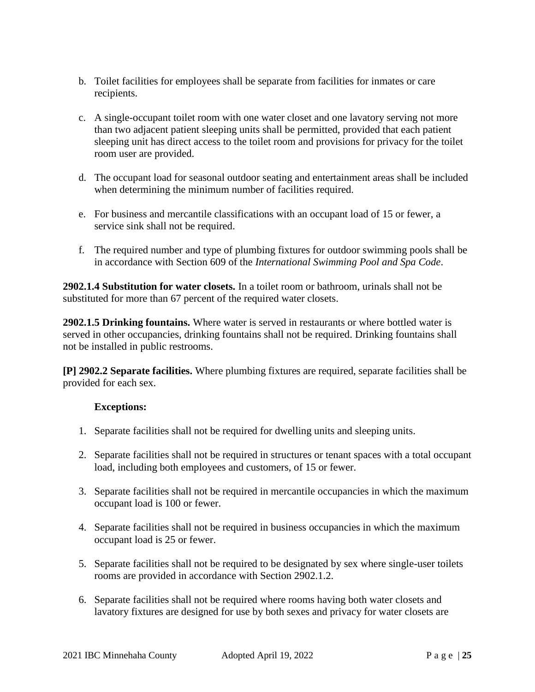- b. Toilet facilities for employees shall be separate from facilities for inmates or care recipients.
- c. A single-occupant toilet room with one water closet and one lavatory serving not more than two adjacent patient sleeping units shall be permitted, provided that each patient sleeping unit has direct access to the toilet room and provisions for privacy for the toilet room user are provided.
- d. The occupant load for seasonal outdoor seating and entertainment areas shall be included when determining the minimum number of facilities required.
- e. For business and mercantile classifications with an occupant load of 15 or fewer, a service sink shall not be required.
- f. The required number and type of plumbing fixtures for outdoor swimming pools shall be in accordance with Section 609 of the *International Swimming Pool and Spa Code*.

**2902.1.4 Substitution for water closets.** In a toilet room or bathroom, urinals shall not be substituted for more than 67 percent of the required water closets.

**2902.1.5 Drinking fountains.** Where water is served in restaurants or where bottled water is served in other occupancies, drinking fountains shall not be required. Drinking fountains shall not be installed in public restrooms.

**[P] 2902.2 Separate facilities.** Where plumbing fixtures are required, separate facilities shall be provided for each sex.

- 1. Separate facilities shall not be required for dwelling units and sleeping units.
- 2. Separate facilities shall not be required in structures or tenant spaces with a total occupant load, including both employees and customers, of 15 or fewer.
- 3. Separate facilities shall not be required in mercantile occupancies in which the maximum occupant load is 100 or fewer.
- 4. Separate facilities shall not be required in business occupancies in which the maximum occupant load is 25 or fewer.
- 5. Separate facilities shall not be required to be designated by sex where single-user toilets rooms are provided in accordance with Section 2902.1.2.
- 6. Separate facilities shall not be required where rooms having both water closets and lavatory fixtures are designed for use by both sexes and privacy for water closets are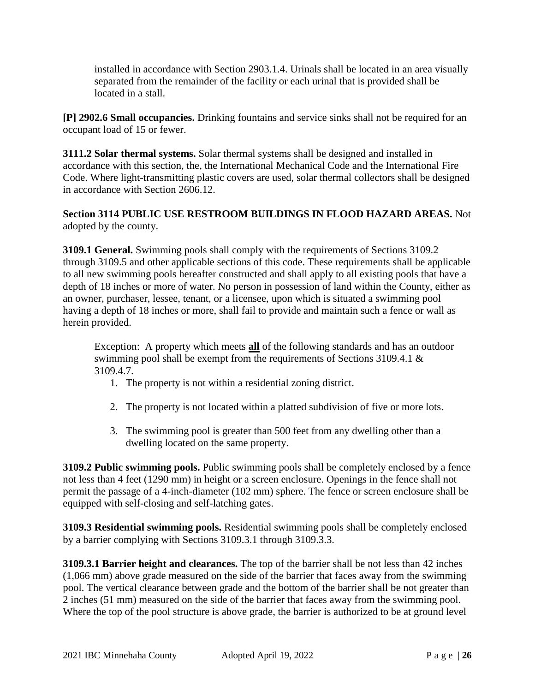installed in accordance with Section 2903.1.4. Urinals shall be located in an area visually separated from the remainder of the facility or each urinal that is provided shall be located in a stall.

**[P] 2902.6 Small occupancies.** Drinking fountains and service sinks shall not be required for an occupant load of 15 or fewer.

**3111.2 Solar thermal systems.** Solar thermal systems shall be designed and installed in accordance with this section, the, the International Mechanical Code and the International Fire Code. Where light-transmitting plastic covers are used, solar thermal collectors shall be designed in accordance with Section 2606.12.

**Section 3114 PUBLIC USE RESTROOM BUILDINGS IN FLOOD HAZARD AREAS.** Not adopted by the county.

**3109.1 General.** Swimming pools shall comply with the requirements of Sections 3109.2 through 3109.5 and other applicable sections of this code. These requirements shall be applicable to all new swimming pools hereafter constructed and shall apply to all existing pools that have a depth of 18 inches or more of water. No person in possession of land within the County, either as an owner, purchaser, lessee, tenant, or a licensee, upon which is situated a swimming pool having a depth of 18 inches or more, shall fail to provide and maintain such a fence or wall as herein provided.

Exception: A property which meets **all** of the following standards and has an outdoor swimming pool shall be exempt from the requirements of Sections 3109.4.1 & 3109.4.7.

- 1. The property is not within a residential zoning district.
- 2. The property is not located within a platted subdivision of five or more lots.
- 3. The swimming pool is greater than 500 feet from any dwelling other than a dwelling located on the same property.

**3109.2 Public swimming pools.** Public swimming pools shall be completely enclosed by a fence not less than 4 feet (1290 mm) in height or a screen enclosure. Openings in the fence shall not permit the passage of a 4-inch-diameter (102 mm) sphere. The fence or screen enclosure shall be equipped with self-closing and self-latching gates.

**3109.3 Residential swimming pools.** Residential swimming pools shall be completely enclosed by a barrier complying with Sections 3109.3.1 through 3109.3.3.

**3109.3.1 Barrier height and clearances.** The top of the barrier shall be not less than 42 inches (1,066 mm) above grade measured on the side of the barrier that faces away from the swimming pool. The vertical clearance between grade and the bottom of the barrier shall be not greater than 2 inches (51 mm) measured on the side of the barrier that faces away from the swimming pool. Where the top of the pool structure is above grade, the barrier is authorized to be at ground level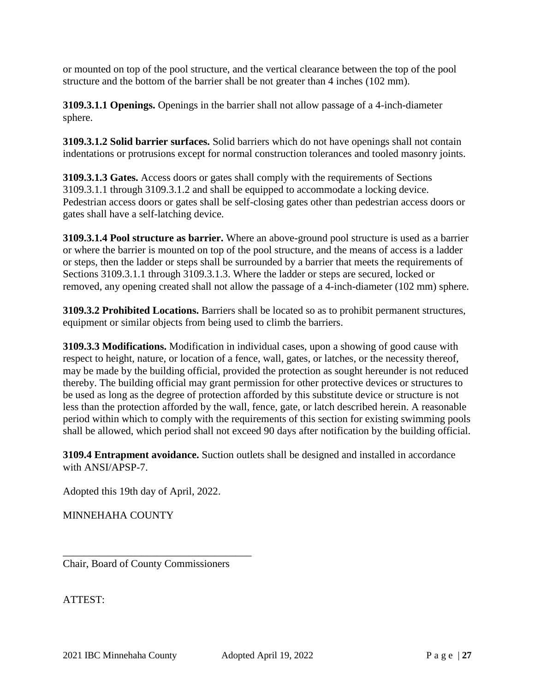or mounted on top of the pool structure, and the vertical clearance between the top of the pool structure and the bottom of the barrier shall be not greater than 4 inches (102 mm).

**3109.3.1.1 Openings.** Openings in the barrier shall not allow passage of a 4-inch-diameter sphere.

**3109.3.1.2 Solid barrier surfaces.** Solid barriers which do not have openings shall not contain indentations or protrusions except for normal construction tolerances and tooled masonry joints.

**3109.3.1.3 Gates.** Access doors or gates shall comply with the requirements of Sections 3109.3.1.1 through 3109.3.1.2 and shall be equipped to accommodate a locking device. Pedestrian access doors or gates shall be self-closing gates other than pedestrian access doors or gates shall have a self-latching device.

**3109.3.1.4 Pool structure as barrier.** Where an above-ground pool structure is used as a barrier or where the barrier is mounted on top of the pool structure, and the means of access is a ladder or steps, then the ladder or steps shall be surrounded by a barrier that meets the requirements of Sections 3109.3.1.1 through 3109.3.1.3. Where the ladder or steps are secured, locked or removed, any opening created shall not allow the passage of a 4-inch-diameter (102 mm) sphere.

**3109.3.2 Prohibited Locations.** Barriers shall be located so as to prohibit permanent structures, equipment or similar objects from being used to climb the barriers.

**3109.3.3 Modifications.** Modification in individual cases, upon a showing of good cause with respect to height, nature, or location of a fence, wall, gates, or latches, or the necessity thereof, may be made by the building official, provided the protection as sought hereunder is not reduced thereby. The building official may grant permission for other protective devices or structures to be used as long as the degree of protection afforded by this substitute device or structure is not less than the protection afforded by the wall, fence, gate, or latch described herein. A reasonable period within which to comply with the requirements of this section for existing swimming pools shall be allowed, which period shall not exceed 90 days after notification by the building official.

**3109.4 Entrapment avoidance.** Suction outlets shall be designed and installed in accordance with ANSI/APSP-7.

Adopted this 19th day of April, 2022.

MINNEHAHA COUNTY

Chair, Board of County Commissioners

\_\_\_\_\_\_\_\_\_\_\_\_\_\_\_\_\_\_\_\_\_\_\_\_\_\_\_\_\_\_\_\_\_\_\_\_

ATTEST: